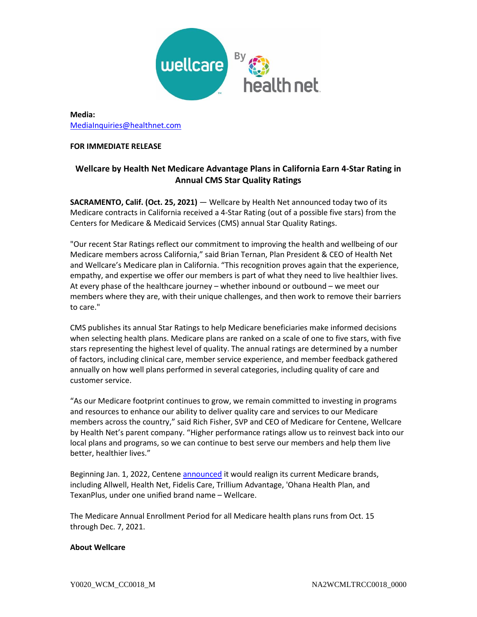

**Media:** [MediaInquiries@healthnet.com](mailto:MediaInquiries@healthnet.com)

## **FOR IMMEDIATE RELEASE**

# **Wellcare by Health Net Medicare Advantage Plans in California Earn 4-Star Rating in Annual CMS Star Quality Ratings**

**SACRAMENTO, Calif. (Oct. 25, 2021)** — Wellcare by Health Net announced today two of its Medicare contracts in California received a 4-Star Rating (out of a possible five stars) from the Centers for Medicare & Medicaid Services (CMS) annual Star Quality Ratings.

"Our recent Star Ratings reflect our commitment to improving the health and wellbeing of our Medicare members across California," said Brian Ternan, Plan President & CEO of Health Net and Wellcare's Medicare plan in California. "This recognition proves again that the experience, empathy, and expertise we offer our members is part of what they need to live healthier lives. At every phase of the healthcare journey – whether inbound or outbound – we meet our members where they are, with their unique challenges, and then work to remove their barriers to care."

CMS publishes its annual Star Ratings to help Medicare beneficiaries make informed decisions when selecting health plans. Medicare plans are ranked on a scale of one to five stars, with five stars representing the highest level of quality. The annual ratings are determined by a number of factors, including clinical care, member service experience, and member feedback gathered annually on how well plans performed in several categories, including quality of care and customer service.

"As our Medicare footprint continues to grow, we remain committed to investing in programs and resources to enhance our ability to deliver quality care and services to our Medicare members across the country," said Rich Fisher, SVP and CEO of Medicare for Centene, Wellcare by Health Net's parent company. "Higher performance ratings allow us to reinvest back into our local plans and programs, so we can continue to best serve our members and help them live better, healthier lives."

Beginning Jan. 1, 2022, Centene [announced](https://www.prnewswire.com/news-releases/wellcare-announces-refreshed-brand-in-effort-to-better-serve-medicare-members-301366933.html) it would realign its current Medicare brands, including Allwell, Health Net, Fidelis Care, Trillium Advantage, 'Ohana Health Plan, and TexanPlus, under one unified brand name – Wellcare.

The Medicare Annual Enrollment Period for all Medicare health plans runs from Oct. 15 through Dec. 7, 2021.

#### **About Wellcare**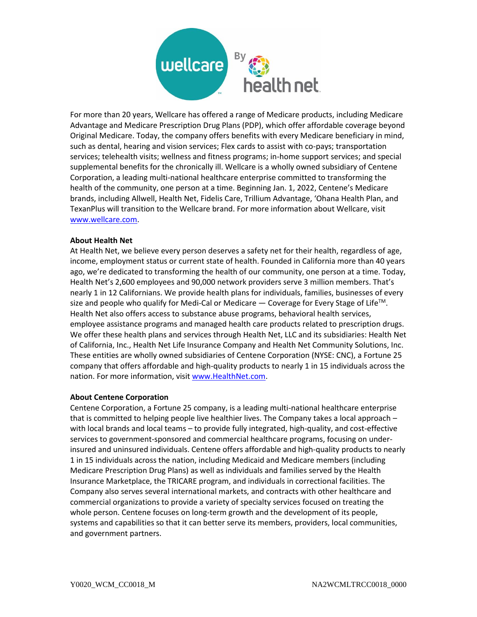

Advantage and Medicare Prescription Drug Plans (PDP), which offer affordable coverage beyond Original Medicare. Today, the company offers benefits with every Medicare beneficiary in mind, such as dental, hearing and vision services; Flex cards to assist with co-pays; transportation services; telehealth visits; wellness and fitness programs; in-home support services; and special supplemental benefits for the chronically ill. Wellcare is a wholly owned subsidiary of Centene Corporation, a leading multi-national healthcare enterprise committed to transforming the health of the community, one person at a time. Beginning Jan. 1, 2022, Centene's Medicare brands, including Allwell, Health Net, Fidelis Care, Trillium Advantage, 'Ohana Health Plan, and TexanPlus will transition to the Wellcare brand. For more information about Wellcare, visit [www.wellcare.com.](http://www.wellcare.com/)

## **About Health Net**

At Health Net, we believe every person deserves a safety net for their health, regardless of age, income, employment status or current state of health. Founded in California more than 40 years ago, we're dedicated to transforming the health of our community, one person at a time. Today, Health Net's 2,600 employees and 90,000 network providers serve 3 million members. That's nearly 1 in 12 Californians. We provide health plans for individuals, families, businesses of every size and people who qualify for Medi-Cal or Medicare — Coverage for Every Stage of Life<sup>TM</sup>. Health Net also offers access to substance abuse programs, behavioral health services, employee assistance programs and managed health care products related to prescription drugs. We offer these health plans and services through Health Net, LLC and its subsidiaries: Health Net of California, Inc., Health Net Life Insurance Company and Health Net Community Solutions, Inc. These entities are wholly owned subsidiaries of Centene Corporation (NYSE: CNC), a Fortune 25 company that offers affordable and high-quality products to nearly 1 in 15 individuals across the nation. For more information, visi[t www.HealthNet.com.](http://www.healthnet.com/)

## **About Centene Corporation**

Centene Corporation, a Fortune 25 company, is a leading multi-national healthcare enterprise that is committed to helping people live healthier lives. The Company takes a local approach – with local brands and local teams – to provide fully integrated, high-quality, and cost-effective services to government-sponsored and commercial healthcare programs, focusing on underinsured and uninsured individuals. Centene offers affordable and high-quality products to nearly 1 in 15 individuals across the nation, including Medicaid and Medicare members (including Medicare Prescription Drug Plans) as well as individuals and families served by the Health Insurance Marketplace, the TRICARE program, and individuals in correctional facilities. The Company also serves several international markets, and contracts with other healthcare and commercial organizations to provide a variety of specialty services focused on treating the whole person. Centene focuses on long-term growth and the development of its people, systems and capabilities so that it can better serve its members, providers, local communities, and government partners.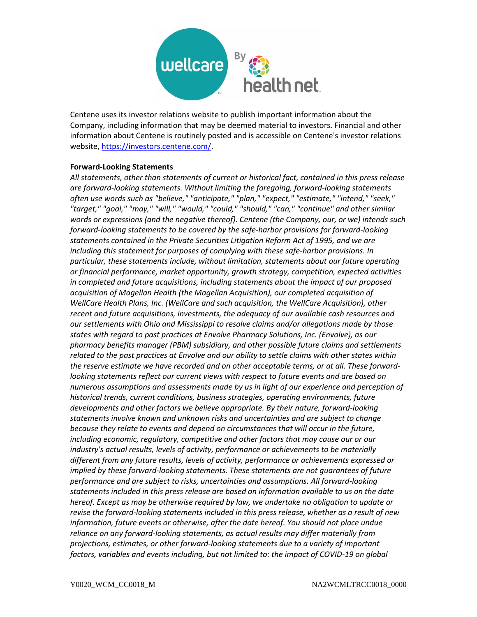

Centene uses its investor relations website to publish important information about the Company, including information that may be deemed material to investors. Financial and other information about Centene is routinely posted and is accessible on Centene's investor relations website, [https://investors.centene.com/.](https://investors.centene.com/)

#### **Forward-Looking Statements**

*All statements, other than statements of current or historical fact, contained in this press release are forward-looking statements. Without limiting the foregoing, forward-looking statements often use words such as "believe," "anticipate," "plan," "expect," "estimate," "intend," "seek," "target," "goal," "may," "will," "would," "could," "should," "can," "continue" and other similar words or expressions (and the negative thereof). Centene (the Company, our, or we) intends such forward-looking statements to be covered by the safe-harbor provisions for forward-looking statements contained in the Private Securities Litigation Reform Act of 1995, and we are including this statement for purposes of complying with these safe-harbor provisions. In particular, these statements include, without limitation, statements about our future operating or financial performance, market opportunity, growth strategy, competition, expected activities in completed and future acquisitions, including statements about the impact of our proposed acquisition of Magellan Health (the Magellan Acquisition), our completed acquisition of WellCare Health Plans, Inc. (WellCare and such acquisition, the WellCare Acquisition), other recent and future acquisitions, investments, the adequacy of our available cash resources and our settlements with Ohio and Mississippi to resolve claims and/or allegations made by those states with regard to past practices at Envolve Pharmacy Solutions, Inc. (Envolve), as our pharmacy benefits manager (PBM) subsidiary, and other possible future claims and settlements related to the past practices at Envolve and our ability to settle claims with other states within the reserve estimate we have recorded and on other acceptable terms, or at all. These forwardlooking statements reflect our current views with respect to future events and are based on numerous assumptions and assessments made by us in light of our experience and perception of historical trends, current conditions, business strategies, operating environments, future developments and other factors we believe appropriate. By their nature, forward-looking statements involve known and unknown risks and uncertainties and are subject to change because they relate to events and depend on circumstances that will occur in the future, including economic, regulatory, competitive and other factors that may cause our or our industry's actual results, levels of activity, performance or achievements to be materially different from any future results, levels of activity, performance or achievements expressed or implied by these forward-looking statements. These statements are not guarantees of future performance and are subject to risks, uncertainties and assumptions. All forward-looking statements included in this press release are based on information available to us on the date hereof. Except as may be otherwise required by law, we undertake no obligation to update or revise the forward-looking statements included in this press release, whether as a result of new information, future events or otherwise, after the date hereof. You should not place undue reliance on any forward-looking statements, as actual results may differ materially from projections, estimates, or other forward-looking statements due to a variety of important factors, variables and events including, but not limited to: the impact of COVID-19 on global*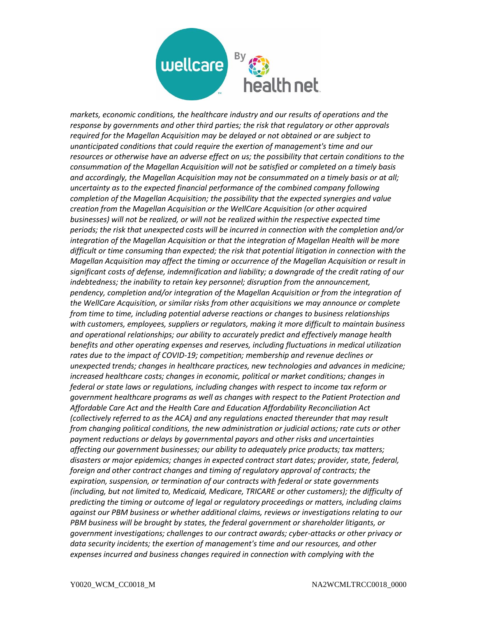

*markets, economic conditions, the healthcare industry and our results of operations and the response by governments and other third parties; the risk that regulatory or other approvals required for the Magellan Acquisition may be delayed or not obtained or are subject to unanticipated conditions that could require the exertion of management's time and our resources or otherwise have an adverse effect on us; the possibility that certain conditions to the consummation of the Magellan Acquisition will not be satisfied or completed on a timely basis and accordingly, the Magellan Acquisition may not be consummated on a timely basis or at all; uncertainty as to the expected financial performance of the combined company following completion of the Magellan Acquisition; the possibility that the expected synergies and value creation from the Magellan Acquisition or the WellCare Acquisition (or other acquired businesses) will not be realized, or will not be realized within the respective expected time periods; the risk that unexpected costs will be incurred in connection with the completion and/or integration of the Magellan Acquisition or that the integration of Magellan Health will be more difficult or time consuming than expected; the risk that potential litigation in connection with the Magellan Acquisition may affect the timing or occurrence of the Magellan Acquisition or result in significant costs of defense, indemnification and liability; a downgrade of the credit rating of our indebtedness; the inability to retain key personnel; disruption from the announcement, pendency, completion and/or integration of the Magellan Acquisition or from the integration of the WellCare Acquisition, or similar risks from other acquisitions we may announce or complete from time to time, including potential adverse reactions or changes to business relationships with customers, employees, suppliers or regulators, making it more difficult to maintain business and operational relationships; our ability to accurately predict and effectively manage health benefits and other operating expenses and reserves, including fluctuations in medical utilization rates due to the impact of COVID-19; competition; membership and revenue declines or unexpected trends; changes in healthcare practices, new technologies and advances in medicine; increased healthcare costs; changes in economic, political or market conditions; changes in federal or state laws or regulations, including changes with respect to income tax reform or government healthcare programs as well as changes with respect to the Patient Protection and Affordable Care Act and the Health Care and Education Affordability Reconciliation Act (collectively referred to as the ACA) and any regulations enacted thereunder that may result from changing political conditions, the new administration or judicial actions; rate cuts or other payment reductions or delays by governmental payors and other risks and uncertainties affecting our government businesses; our ability to adequately price products; tax matters; disasters or major epidemics; changes in expected contract start dates; provider, state, federal, foreign and other contract changes and timing of regulatory approval of contracts; the expiration, suspension, or termination of our contracts with federal or state governments (including, but not limited to, Medicaid, Medicare, TRICARE or other customers); the difficulty of predicting the timing or outcome of legal or regulatory proceedings or matters, including claims against our PBM business or whether additional claims, reviews or investigations relating to our PBM business will be brought by states, the federal government or shareholder litigants, or government investigations; challenges to our contract awards; cyber-attacks or other privacy or data security incidents; the exertion of management's time and our resources, and other expenses incurred and business changes required in connection with complying with the*